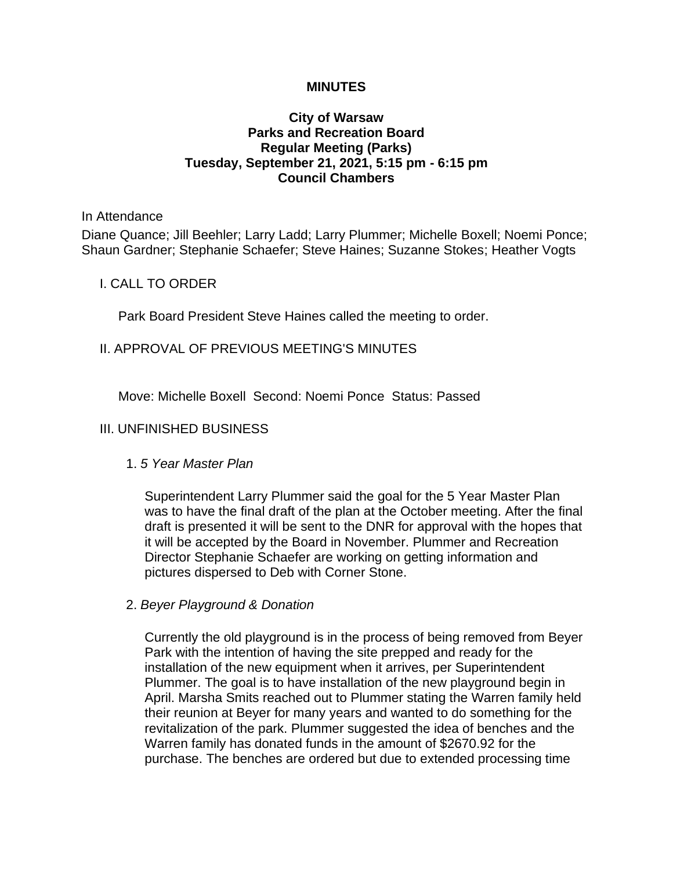### **MINUTES**

### **City of Warsaw Parks and Recreation Board Regular Meeting (Parks) Tuesday, September 21, 2021, 5:15 pm - 6:15 pm Council Chambers**

#### In Attendance

Diane Quance; Jill Beehler; Larry Ladd; Larry Plummer; Michelle Boxell; Noemi Ponce; Shaun Gardner; Stephanie Schaefer; Steve Haines; Suzanne Stokes; Heather Vogts

### I. CALL TO ORDER

Park Board President Steve Haines called the meeting to order.

### II. APPROVAL OF PREVIOUS MEETING'S MINUTES

Move: Michelle Boxell Second: Noemi Ponce Status: Passed

### III. UNFINISHED BUSINESS

### 1. *5 Year Master Plan*

Superintendent Larry Plummer said the goal for the 5 Year Master Plan was to have the final draft of the plan at the October meeting. After the final draft is presented it will be sent to the DNR for approval with the hopes that it will be accepted by the Board in November. Plummer and Recreation Director Stephanie Schaefer are working on getting information and pictures dispersed to Deb with Corner Stone.

### 2. *Beyer Playground & Donation*

Currently the old playground is in the process of being removed from Beyer Park with the intention of having the site prepped and ready for the installation of the new equipment when it arrives, per Superintendent Plummer. The goal is to have installation of the new playground begin in April. Marsha Smits reached out to Plummer stating the Warren family held their reunion at Beyer for many years and wanted to do something for the revitalization of the park. Plummer suggested the idea of benches and the Warren family has donated funds in the amount of \$2670.92 for the purchase. The benches are ordered but due to extended processing time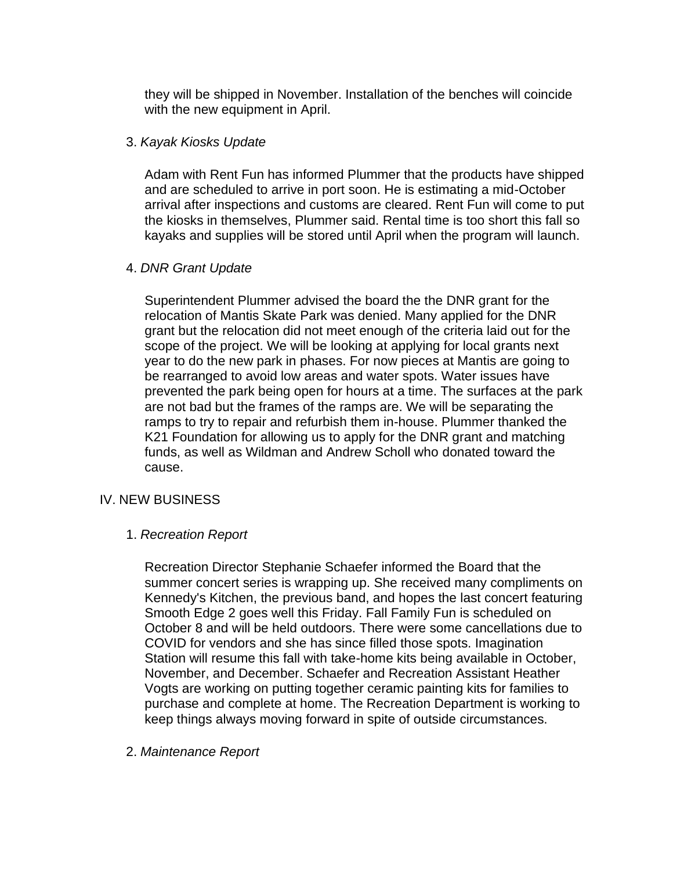they will be shipped in November. Installation of the benches will coincide with the new equipment in April.

### 3. *Kayak Kiosks Update*

Adam with Rent Fun has informed Plummer that the products have shipped and are scheduled to arrive in port soon. He is estimating a mid-October arrival after inspections and customs are cleared. Rent Fun will come to put the kiosks in themselves, Plummer said. Rental time is too short this fall so kayaks and supplies will be stored until April when the program will launch.

# 4. *DNR Grant Update*

Superintendent Plummer advised the board the the DNR grant for the relocation of Mantis Skate Park was denied. Many applied for the DNR grant but the relocation did not meet enough of the criteria laid out for the scope of the project. We will be looking at applying for local grants next year to do the new park in phases. For now pieces at Mantis are going to be rearranged to avoid low areas and water spots. Water issues have prevented the park being open for hours at a time. The surfaces at the park are not bad but the frames of the ramps are. We will be separating the ramps to try to repair and refurbish them in-house. Plummer thanked the K21 Foundation for allowing us to apply for the DNR grant and matching funds, as well as Wildman and Andrew Scholl who donated toward the cause.

# IV. NEW BUSINESS

# 1. *Recreation Report*

Recreation Director Stephanie Schaefer informed the Board that the summer concert series is wrapping up. She received many compliments on Kennedy's Kitchen, the previous band, and hopes the last concert featuring Smooth Edge 2 goes well this Friday. Fall Family Fun is scheduled on October 8 and will be held outdoors. There were some cancellations due to COVID for vendors and she has since filled those spots. Imagination Station will resume this fall with take-home kits being available in October, November, and December. Schaefer and Recreation Assistant Heather Vogts are working on putting together ceramic painting kits for families to purchase and complete at home. The Recreation Department is working to keep things always moving forward in spite of outside circumstances.

# 2. *Maintenance Report*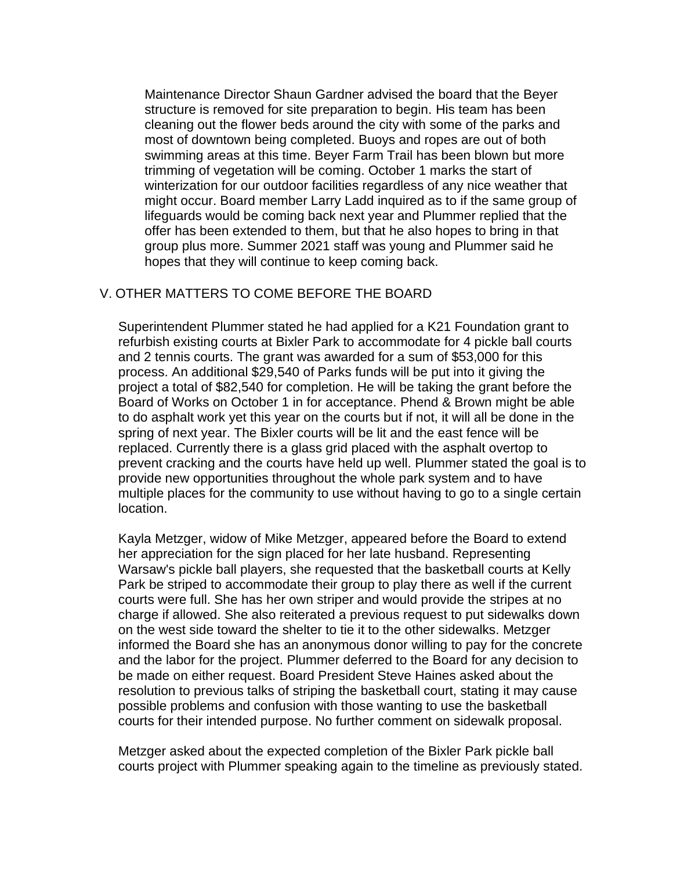Maintenance Director Shaun Gardner advised the board that the Beyer structure is removed for site preparation to begin. His team has been cleaning out the flower beds around the city with some of the parks and most of downtown being completed. Buoys and ropes are out of both swimming areas at this time. Beyer Farm Trail has been blown but more trimming of vegetation will be coming. October 1 marks the start of winterization for our outdoor facilities regardless of any nice weather that might occur. Board member Larry Ladd inquired as to if the same group of lifeguards would be coming back next year and Plummer replied that the offer has been extended to them, but that he also hopes to bring in that group plus more. Summer 2021 staff was young and Plummer said he hopes that they will continue to keep coming back.

# V. OTHER MATTERS TO COME BEFORE THE BOARD

Superintendent Plummer stated he had applied for a K21 Foundation grant to refurbish existing courts at Bixler Park to accommodate for 4 pickle ball courts and 2 tennis courts. The grant was awarded for a sum of \$53,000 for this process. An additional \$29,540 of Parks funds will be put into it giving the project a total of \$82,540 for completion. He will be taking the grant before the Board of Works on October 1 in for acceptance. Phend & Brown might be able to do asphalt work yet this year on the courts but if not, it will all be done in the spring of next year. The Bixler courts will be lit and the east fence will be replaced. Currently there is a glass grid placed with the asphalt overtop to prevent cracking and the courts have held up well. Plummer stated the goal is to provide new opportunities throughout the whole park system and to have multiple places for the community to use without having to go to a single certain location.

Kayla Metzger, widow of Mike Metzger, appeared before the Board to extend her appreciation for the sign placed for her late husband. Representing Warsaw's pickle ball players, she requested that the basketball courts at Kelly Park be striped to accommodate their group to play there as well if the current courts were full. She has her own striper and would provide the stripes at no charge if allowed. She also reiterated a previous request to put sidewalks down on the west side toward the shelter to tie it to the other sidewalks. Metzger informed the Board she has an anonymous donor willing to pay for the concrete and the labor for the project. Plummer deferred to the Board for any decision to be made on either request. Board President Steve Haines asked about the resolution to previous talks of striping the basketball court, stating it may cause possible problems and confusion with those wanting to use the basketball courts for their intended purpose. No further comment on sidewalk proposal.

Metzger asked about the expected completion of the Bixler Park pickle ball courts project with Plummer speaking again to the timeline as previously stated.